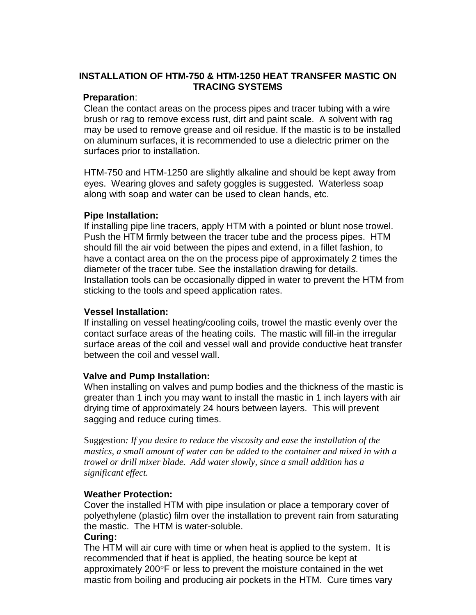# **INSTALLATION OF HTM-750 & HTM-1250 HEAT TRANSFER MASTIC ON TRACING SYSTEMS**

### **Preparation**:

Clean the contact areas on the process pipes and tracer tubing with a wire brush or rag to remove excess rust, dirt and paint scale. A solvent with rag may be used to remove grease and oil residue. If the mastic is to be installed on aluminum surfaces, it is recommended to use a dielectric primer on the surfaces prior to installation.

HTM-750 and HTM-1250 are slightly alkaline and should be kept away from eyes. Wearing gloves and safety goggles is suggested. Waterless soap along with soap and water can be used to clean hands, etc.

## **Pipe Installation:**

If installing pipe line tracers, apply HTM with a pointed or blunt nose trowel. Push the HTM firmly between the tracer tube and the process pipes. HTM should fill the air void between the pipes and extend, in a fillet fashion, to have a contact area on the on the process pipe of approximately 2 times the diameter of the tracer tube. See the installation drawing for details. Installation tools can be occasionally dipped in water to prevent the HTM from sticking to the tools and speed application rates.

### **Vessel Installation:**

If installing on vessel heating/cooling coils, trowel the mastic evenly over the contact surface areas of the heating coils. The mastic will fill-in the irregular surface areas of the coil and vessel wall and provide conductive heat transfer between the coil and vessel wall.

#### **Valve and Pump Installation:**

When installing on valves and pump bodies and the thickness of the mastic is greater than 1 inch you may want to install the mastic in 1 inch layers with air drying time of approximately 24 hours between layers. This will prevent sagging and reduce curing times.

Suggestion*: If you desire to reduce the viscosity and ease the installation of the mastics, a small amount of water can be added to the container and mixed in with a trowel or drill mixer blade. Add water slowly, since a small addition has a significant effect.*

## **Weather Protection:**

Cover the installed HTM with pipe insulation or place a temporary cover of polyethylene (plastic) film over the installation to prevent rain from saturating the mastic. The HTM is water-soluble.

## **Curing:**

The HTM will air cure with time or when heat is applied to the system. It is recommended that if heat is applied, the heating source be kept at approximately 200°F or less to prevent the moisture contained in the wet mastic from boiling and producing air pockets in the HTM. Cure times vary